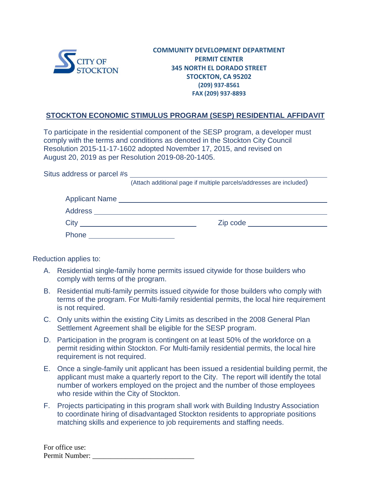

## **COMMUNITY DEVELOPMENT DEPARTMENT PERMIT CENTER 345 NORTH EL DORADO STREET STOCKTON, CA 95202 (209) 937-8561 FAX (209) 937-8893**

## **STOCKTON ECONOMIC STIMULUS PROGRAM (SESP) RESIDENTIAL AFFIDAVIT**

To participate in the residential component of the SESP program, a developer must comply with the terms and conditions as denoted in the Stockton City Council Resolution 2015-11-17-1602 adopted November 17, 2015, and revised on August 20, 2019 as per Resolution 2019-08-20-1405.

Situs address or parcel #s

(Attach additional page if multiple parcels/addresses are included)

| <b>Applicant Name</b> |          |
|-----------------------|----------|
| Address               |          |
| City                  | Zip code |
| Phone                 |          |

Reduction applies to:

- A. Residential single-family home permits issued citywide for those builders who comply with terms of the program.
- B. Residential multi-family permits issued citywide for those builders who comply with terms of the program. For Multi-family residential permits, the local hire requirement is not required.
- C. Only units within the existing City Limits as described in the 2008 General Plan Settlement Agreement shall be eligible for the SESP program.
- D. Participation in the program is contingent on at least 50% of the workforce on a permit residing within Stockton. For Multi-family residential permits, the local hire requirement is not required.
- E. Once a single-family unit applicant has been issued a residential building permit, the applicant must make a quarterly report to the City. The report will identify the total number of workers employed on the project and the number of those employees who reside within the City of Stockton.
- F. Projects participating in this program shall work with Building Industry Association to coordinate hiring of disadvantaged Stockton residents to appropriate positions matching skills and experience to job requirements and staffing needs.

| For office use: |  |
|-----------------|--|
| Permit Number:  |  |